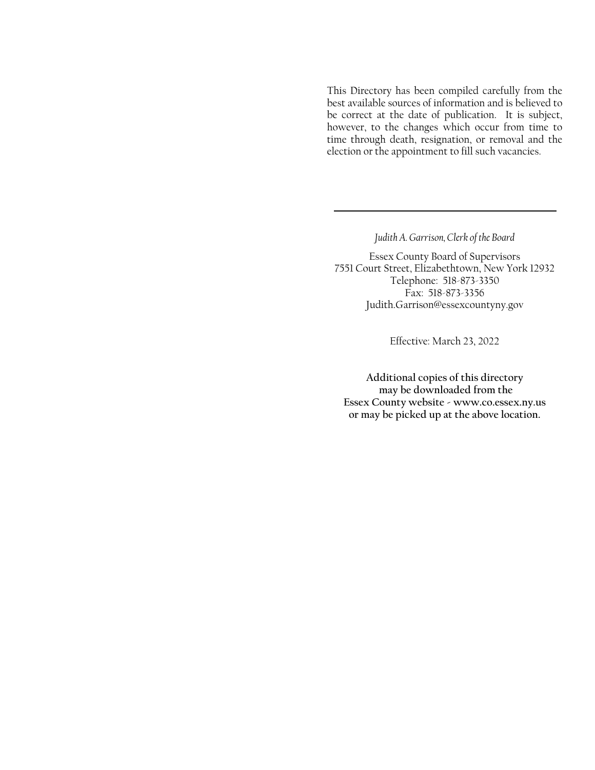This Directory has been compiled carefully from the best available sources of information and is believed to be correct at the date of publication. It is subject, however, to the changes which occur from time to time through death, resignation, or removal and the election or the appointment to fill such vacancies.

*Judith A. Garrison, Clerk of the Board*

Essex County Board of Supervisors 7551 Court Street, Elizabethtown, New York 12932 Telephone: 518-873-3350 Fax: 518-873-3356 Judith.Garrison@essexcountyny.gov

Effective: March 23, 2022

**Additional copies of this directory may be downloaded from the Essex County website - www.co.essex.ny.us or may be picked up at the above location.**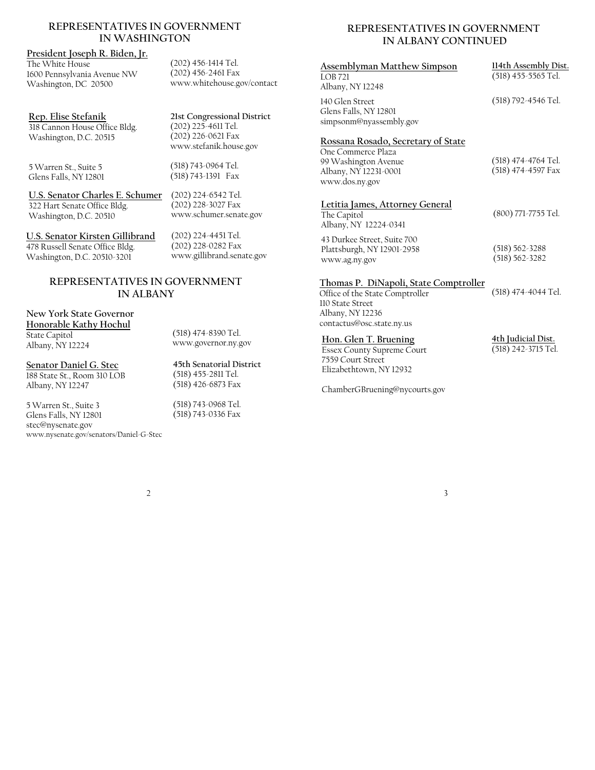#### **REPRESENTATIVES IN GOVERNMENT IN WASHINGTON**

#### **President Joseph R. Biden, Jr.**

The White House 1600 Pennsylvania Avenue NW Washington, DC 20500

**Rep. Elise Stefanik**  318 Cannon House Office Bldg. Washington, D.C. 20515

5 Warren St., Suite 5 Glens Falls, NY 12801 www.stefanik.house.gov (518) 743-0964 Tel. (518) 743-1391 Fax

(202) 456-1414 Tel.  $(202)$  456-2461 Fax

www.whitehouse.gov/contact

**21st Congressional District**  (202) 225-4611 Tel. (202) 226-0621 Fax

**U.S. Senator Charles E. Schumer**  (202) 224-6542 Tel. 322 Hart Senate Office Bldg. Washington, D.C. 20510

www.schumer.senate.gov (202) 224-4451 Tel.

(202) 228-3027 Fax

**U.S. Senator Kirsten Gillibrand**  478 Russell Senate Office Bldg. Washington, D.C. 20510-3201

(202) 228-0282 Fax www.gillibrand.senate.gov

# **REPRESENTATIVES IN GOVERNMENT IN ALBANY**

# **New York State Governor Honorable Kathy Hochul**  State Capitol

Albany, NY 12224

**Senator Daniel G. Stec**  188 State St., Room 310 LOB Albany, NY 12247

5 Warren St., Suite 3 Glens Falls, NY 12801 stec@nysenate.gov www.nysenate.gov/senators/Daniel-G-Stec (518) 474-8390 Tel. www.governor.ny.gov

**45th Senatorial District**  (518) 455-2811 Tel. (518) 426-6873 Fax

(518) 743-0968 Tel. (518) 743-0336 Fax

# **REPRESENTATIVES IN GOVERNMENT IN ALBANY CONTINUED**

| <u>Assemblyman Matthew Simpson</u><br><b>LOB 721</b><br>Albany, NY 12248                                                                      | 114th Assembly Dist.<br>(518) 455-5565 Tel. |
|-----------------------------------------------------------------------------------------------------------------------------------------------|---------------------------------------------|
| 140 Glen Street<br>Glens Falls, NY 12801<br>simpsonm@nyassembly.gov                                                                           | (518) 792-4546 Tel.                         |
| Rossana Rosado, Secretary of State<br>One Commerce Plaza<br>99 Washington Avenue<br>Albany, NY 12231-0001<br>www.dos.ny.gov                   | (518) 474-4764 Tel.<br>(518) 474-4597 Fax   |
| Letitia James, Attorney General<br>The Capitol<br>Albany, NY 12224-0341                                                                       | (800) 771-7755 Tel.                         |
| 43 Durkee Street, Suite 700<br>Plattsburgh, NY 12901-2958<br>www.ag.ny.gov                                                                    | $(518) 562 - 3288$<br>$(518) 562 - 3282$    |
| Thomas P. DiNapoli, State Comptroller<br>Office of the State Comptroller<br>110 State Street<br>Albany, NY 12236<br>contactus@osc.state.ny.us | (518) 474-4044 Tel.                         |
| Hon. Glen T. Bruening<br><b>Essex County Supreme Court</b><br>7559 Court Street<br>Elizabethtown, NY 12932                                    | 4th Judicial Dist.<br>(518) 242-3715 Tel.   |

ChamberGBruening@nycourts.gov

2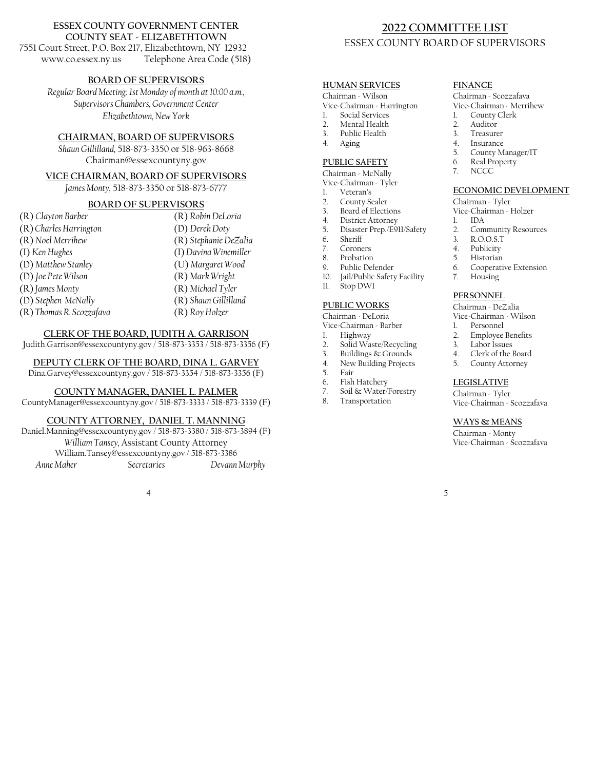#### **ESSEX COUNTY GOVERNMENT CENTER COUNTY SEAT - ELIZABETHTOWN**

7551 Court Street, P.O. Box 217, Elizabethtown, NY 12932 www.co.essex.ny.us Telephone Area Code (518)

#### **BOARD OF SUPERVISORS**

*Regular Board Meeting: 1st Monday of month at 10:00 a.m., Supervisors Chambers, Government Center Elizabethtown, New York*

#### **CHAIRMAN, BOARD OF SUPERVISORS**

*Shaun Gillilland,* 518-873-3350 or 518-963-8668 Chairman@essexcountyny.gov

#### **VICE CHAIRMAN, BOARD OF SUPERVISORS**

*James Monty,* 518-873-3350 or 518-873-6777

# **BOARD OF SUPERVISORS**

| (R) Clayton Barber       | (R) Robin DeLoria     |
|--------------------------|-----------------------|
| (R) Charles Harrington   | (D) Derek Doty        |
| (R) Noel Merrihew        | (R) Stephanie DeZalia |
| (I) Ken Hughes           | (I) Davina Winemiller |
| (D) Matthew Stanley      | (U) Margaret Wood     |
| (D) Joe Pete Wilson      | (R) Mark Wright       |
| (R) James Monty          | (R) Michael Tyler     |
| (D) Stephen McNally      | (R) Shaun Gillilland  |
| (R) Thomas R. Scozzafava | (R) Roy Holzer        |
|                          |                       |

#### **CLERK OF THE BOARD, JUDITH A. GARRISON**

Judith.Garrison@essexcountyny.gov / 518-873-3353 / 518-873-3356 (F)

#### **DEPUTY CLERK OF THE BOARD, DINA L. GARVEY**

Dina.Garvey@essexcountyny.gov / 518-873-3354 / 518-873-3356 (F)

#### **COUNTY MANAGER, DANIEL L. PALMER**

CountyManager@essexcountyny.gov / 518-873-3333 / 518-873-3339 (F)

#### **COUNTY ATTORNEY, DANIEL T. MANNING**

Daniel.Manning@essexcountyny.gov / 518-873-3380 / 518-873-3894 (F) *William Tansey,* Assistant County Attorney William.Tansey@essexcountyny.gov / 518-873-3386  *Anne Maher Secretaries Devann Murphy* 

4

# **2022 COMMITTEE LIST**  ESSEX COUNTY BOARD OF SUPERVISORS

#### **HUMAN SERVICES**

#### Chairman - Wilson

- Vice-Chairman Harrington
- 1. Social Services
- 2. Mental Health
- 3. Public Health
- 4. Aging

#### **PUBLIC SAFETY**

Chairman - McNally

- Vice-Chairman Tyler
- Veteran's
- 2. County Sealer
- 3. Board of Elections
- 4. District Attorney
- 5. Disaster Prep./E911/Safety
- 6. Sheriff
- 7. Coroners Probation
- 
- 9. Public Defender
- 10. Jail/Public Safety Facility 11. Stop DWI

#### **PUBLIC WORKS**

Chairman - DeLoria

Vice-Chairman - Barber 1. Highway

- 
- 2. Solid Waste/Recycling 3. Buildings & Grounds
- 4. New Building Projects
- 5. Fair
- 
- 6. Fish Hatchery
- 7. Soil & Water/Forestry **Transportation**
- 

#### **FINANCE**

# Chairman - Scozzafava

# Vice-Chairman - Merrihew<br>1 County Clerk

- 1. County Clerk
- Auditor
- 3. Treasurer
- 4. Insurance
- 5. County Manager/IT
- 6. Real Property
- 7. NCCC

#### **ECONOMIC DEVELOPMENT**

#### Chairman - Tyler

Vice-Chairman - Holzer

- 1. IDA
- 2. Community Resources<br>3. R.O.O.S.T
- 3. R.O.O.S.T
- 4. Publicity<br>5. Historian
- Historian
- 6. Cooperative Extension
- 7. Housing

### **PERSONNEL**

Chairman - DeZalia

- Vice-Chairman Wilson
	-
- 1. Personnel<br>2. Employee 2. Employee Benefits
- 3. Labor Issues
- 4. Clerk of the Board
- 5. County Attorney

# **LEGISLATIVE**

Chairman - Tyler Vice-Chairman - Scozzafava

#### **WAYS & MEANS**

Chairman - Monty Vice-Chairman - Scozzafava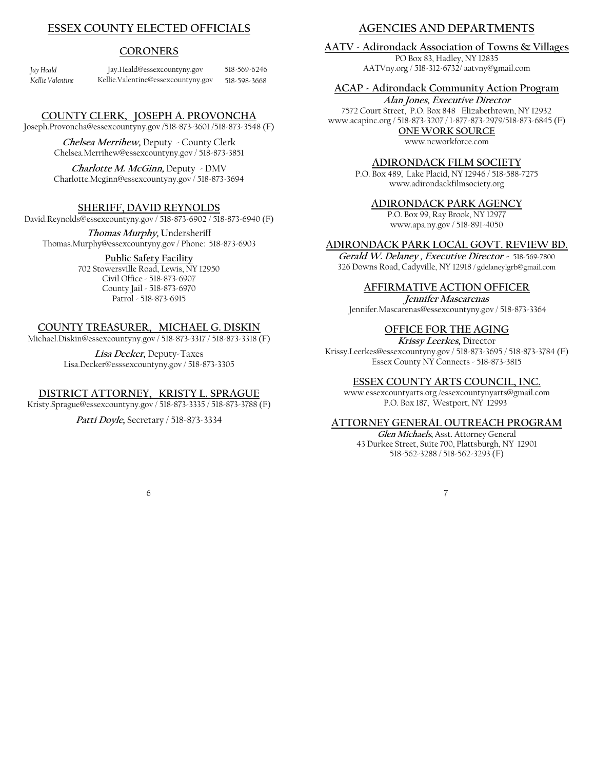# **ESSEX COUNTY ELECTED OFFICIALS**

### **CORONERS**

| Jay Heald        | Jay.Heald@essexcountyny.gov        | 518-569-6246 |
|------------------|------------------------------------|--------------|
| Kellie Valentine | Kellie.Valentine@essexcountyny.gov | 518-598-3668 |

#### **COUNTY CLERK, JOSEPH A. PROVONCHA**

Joseph.Provoncha@essexcountyny.gov /518-873-3601 /518-873-3548 (F)

**Chelsea Merrihew,** Deputy - County Clerk Chelsea.Merrihew@essexcountyny.gov / 518-873-3851

**Charlotte M. McGinn,** Deputy - DMV Charlotte.Mcginn@essexcountyny.gov / 518-873-3694

#### **SHERIFF, DAVID REYNOLDS**

David.Reynolds@essexcountyny.gov / 518-873-6902 / 518-873-6940 (F)

**Thomas Murphy, U**ndersheriff Thomas.Murphy@essexcountyny.gov / Phone: 518-873-6903

#### **Public Safety Facility**

702 Stowersville Road, Lewis, NY 12950 Civil Office - 518-873-6907 County Jail - 518-873-6970 Patrol - 518-873-6915

### **COUNTY TREASURER, MICHAEL G. DISKIN**

Michael.Diskin@essexcountyny.gov / 518-873-3317 / 518-873-3318 (F)

**Lisa Decker,** Deputy-Taxes Lisa.Decker@esssexcountyny.gov / 518-873-3305

#### **DISTRICT ATTORNEY, KRISTY L. SPRAGUE**

Kristy.Sprague@essexcountyny.gov / 518-873-3335 / 518-873-3788 (F)

**Patti Doyle,** Secretary / 518-873-3334

# **AGENCIES AND DEPARTMENTS**

**AATV - Adirondack Association of Towns & Villages**  PO Box 83, Hadley, NY 12835

AATVny.org / 518-312-6732/ aatvny@gmail.com

#### **ACAP - Adirondack Community Action Program**

**Alan Jones, Executive Director** 7572 Court Street, P.O. Box 848Elizabethtown, NY 12932 www.acapinc.org / 518-873-3207 / 1-877-873-2979/518-873-6845 (F) **ONE WORK SOURCE** 

www.ncworkforce.com

#### **ADIRONDACK FILM SOCIETY**

P.O. Box 489, Lake Placid, NY 12946 / 518-588-7275 www.adirondackfilmsociety.org

#### **ADIRONDACK PARK AGENCY**

P.O. Box 99, Ray Brook, NY 12977 www.apa.ny.gov / 518-891-4050

#### **ADIRONDACK PARK LOCAL GOVT. REVIEW BD.**

**Gerald W. Delaney , Executive Director -** 518-569-7800 326 Downs Road, Cadyville, NY 12918 / gdelaneylgrb@gmail.com

#### **AFFIRMATIVE ACTION OFFICER**

**Jennifer Mascarenas**  Jennifer.Mascarenas@essexcountyny.gov / 518-873-3364

#### **OFFICE FOR THE AGING**

**Krissy Leerkes,** Director Krissy.Leerkes@essexcountyny.gov / 518-873-3695 / 518-873-3784 (F) Essex County NY Connects - 518-873-3815

#### **ESSEX COUNTY ARTS COUNCIL, INC.**

www.essexcountyarts.org /essexcountynyarts@gmail.com P.O. Box 187, Westport, NY 12993

#### **ATTORNEY GENERAL OUTREACH PROGRAM**

**Glen Michaels,** Asst. Attorney General 43 Durkee Street, Suite 700, Plattsburgh, NY 12901 518-562-3288 / 518-562-3293 (F)

6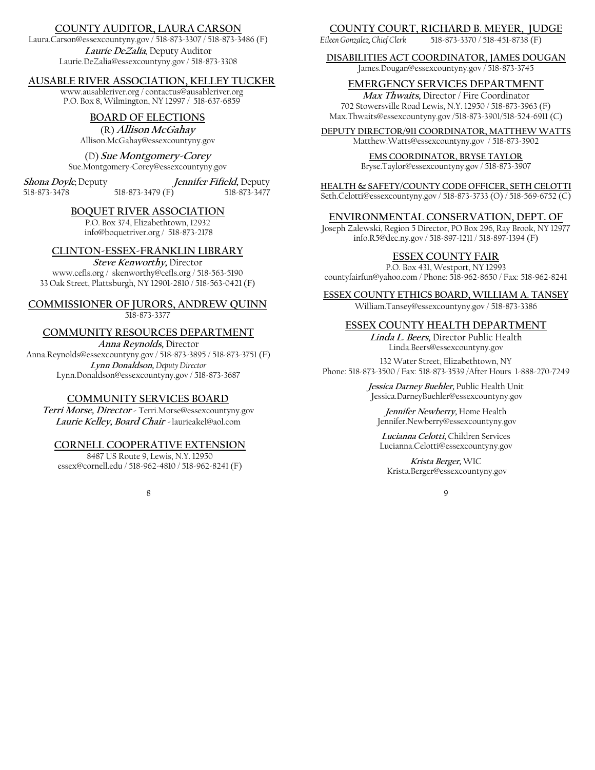## **COUNTY AUDITOR, LAURA CARSON**

Laura.Carson@essexcountyny.gov / 518-873-3307 / 518-873-3486 (F) **Laurie DeZalia***,* Deputy Auditor

Laurie.DeZalia@essexcountyny.gov / 518-873-3308

# **AUSABLE RIVER ASSOCIATION, KELLEY TUCKER**

www.ausableriver.org / contactus@ausableriver.org P.O. Box 8, Wilmington, NY 12997 / 518-637-6859

# **BOARD OF ELECTIONS**

(R) **AllisonMcGahay** Allison.McGahay@essexcountyny.gov

# (D) **Sue Montgomery-Corey**

Sue.Montgomery-Corey@essexcountyny.gov

**Shona Doyle***,* Deputy **Jennifer Fifield,** Deputy 518-873-3479 (F)

**BOQUET RIVER ASSOCIATION** 

P.O. Box 374, Elizabethtown, 12932 info@boquetriver.org / 518-873-2178

# **CLINTON-ESSEX-FRANKLIN LIBRARY**

**Steve Kenworthy,** Director www.cefls.org / skenworthy@cefls.org / 518-563-5190 33 Oak Street, Plattsburgh, NY 12901-2810 / 518-563-0421 (F)

#### **COMMISSIONER OF JURORS, ANDREW QUINN**  518-873-3377

#### **COMMUNITY RESOURCES DEPARTMENT**

**Anna Reynolds,** Director

Anna.Reynolds@essexcountyny.gov / 518-873-3895 / 518-873-3751 (F) **Lynn Donaldson,** *Deputy Director*  Lynn.Donaldson@essexcountyny.gov / 518-873-3687

#### **COMMUNITY SERVICES BOARD**

**Terri Morse, Director -** Terri.Morse@essexcountyny.gov **Laurie Kelley, Board Chair -** laurieakel@aol.com

#### **CORNELL COOPERATIVE EXTENSION**

8487 US Route 9, Lewis, N.Y. 12950 essex@cornell.edu / 518-962-4810 / 518-962-8241 (F)

8

### **COUNTY COURT, RICHARD B. MEYER, JUDGE**

*Eileen Gonzalez, Chief Clerk* 518-873-3370 / 518-451-8738 (F)

#### **DISABILITIES ACT COORDINATOR, JAMES DOUGAN**

James.Dougan@essexcountyny.gov / 518-873-3745

#### **EMERGENCY SERVICES DEPARTMENT**

**Max Thwaits,** Director / Fire Coordinator 702 Stowersville Road Lewis, N.Y. 12950 / 518-873-3963 (F) Max.Thwaits@essexcountyny.gov /518-873-3901/518-524-6911 (C)

**DEPUTY DIRECTOR/911 COORDINATOR, MATTHEW WATTS** Matthew.Watts@essexcountyny.gov / 518-873-3902

### **EMS COORDINATOR, BRYSE TAYLOR**

Bryse.Taylor@essexcountyny.gov / 518-873-3907

**HEALTH & SAFETY/COUNTY CODE OFFICER, SETH CELOTTI**

Seth.Celotti@essexcountyny.gov / 518-873-3733 (O) / 518-569-6752 (C)

#### **ENVIRONMENTAL CONSERVATION, DEPT. OF**

Joseph Zalewski, Region 5 Director, PO Box 296, Ray Brook, NY 12977 info.R5@dec.ny.gov / 518-897-1211 / 518-897-1394 (F)

#### **ESSEX COUNTY FAIR**

P.O. Box 431, Westport, NY 12993 countyfairfun@yahoo.com / Phone: 518-962-8650 / Fax: 518-962-8241

**ESSEX COUNTY ETHICS BOARD, WILLIAM A. TANSEY** 

William.Tansey@essexcountyny.gov / 518-873-3386

#### **ESSEX COUNTY HEALTH DEPARTMENT**

**Linda L. Beers,** Director Public Health Linda.Beers@essexcountyny.gov

132 Water Street, Elizabethtown, NY Phone: 518-873-3500 / Fax: 518-873-3539 /After Hours 1-888-270-7249

> **Jessica Darney Buehler,** Public Health Unit Jessica.DarneyBuehler@essexcountyny.gov

**Jennifer Newberry,** Home Health Jennifer.Newberry@essexcountyny.gov

**Lucianna Celotti,** Children Services Lucianna.Celotti@essexcountyny.gov

**Krista Berger,** WIC Krista.Berger@essexcountyny.gov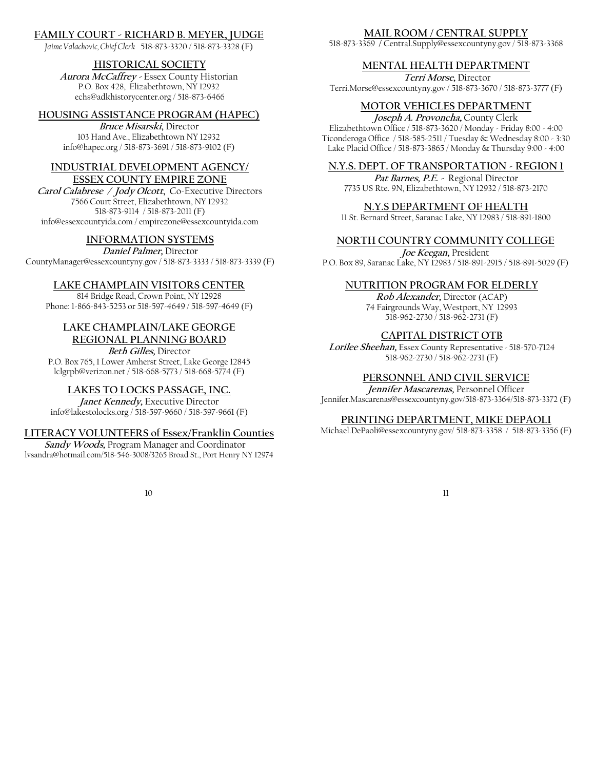# **FAMILY COURT - RICHARD B. MEYER, JUDGE**

*Jaime Valachovic, Chief Clerk* 518-873-3320 / 518-873-3328 (F)

# **HISTORICAL SOCIETY**

**Aurora McCaffrey -** Essex County Historian P.O. Box 428, Elizabethtown, NY 12932 echs@adkhistorycenter.org / 518-873-6466

#### **HOUSING ASSISTANCE PROGRAM (HAPEC)**

**Bruce Misarski,** Director 103 Hand Ave., Elizabethtown NY 12932 info@hapec.org / 518-873-3691 / 518-873-9102 (F)

#### **INDUSTRIAL DEVELOPMENT AGENCY/ ESSEX COUNTY EMPIRE ZONE**

**Carol Calabrese / Jody Olcott,** Co-Executive Directors 7566 Court Street, Elizabethtown, NY 12932 518-873-9114 / 518-873-2011 (F) info@essexcountyida.com / empirezone@essexcountyida.com

### **INFORMATION SYSTEMS**

**Daniel Palmer,** Director CountyManager@essexcountyny.gov / 518-873-3333 / 518-873-3339 (F)

### **LAKE CHAMPLAIN VISITORS CENTER**

814 Bridge Road, Crown Point, NY 12928 Phone: 1-866-843-5253 or 518-597-4649 / 518-597-4649 (F)

# **LAKE CHAMPLAIN/LAKE GEORGE REGIONAL PLANNING BOARD**

**Beth Gilles,** Director

P.O. Box 765, 1 Lower Amherst Street, Lake George 12845 lclgrpb@verizon.net / 518-668-5773 / 518-668-5774 (F)

#### **LAKES TO LOCKS PASSAGE, INC.**

**Janet Kennedy,** Executive Director info@lakestolocks.org / 518-597-9660 / 518-597-9661 (F)

#### **LITERACY VOLUNTEERS of Essex/Franklin Counties**

**Sandy Woods,** Program Manager and Coordinator lvsandra@hotmail.com/518-546-3008/3265 Broad St., Port Henry NY 12974

10

518-873-3369 **/** Central.Supply@essexcountyny.gov / 518-873-3368

#### **MENTAL HEALTH DEPARTMENT**

 **Terri Morse,** Director Terri.Morse@essexcountyny.gov / 518-873-3670 / 518-873-3777 (F)

### **MOTOR VEHICLES DEPARTMENT**

**Joseph A. Provoncha,** County Clerk Elizabethtown Office / 518-873-3620 / Monday - Friday 8:00 - 4:00 Ticonderoga Office / 518-585-2511 / Tuesday & Wednesday 8:00 - 3:30 Lake Placid Office / 518-873-3865 / Monday & Thursday 9:00 - 4:00

#### **N.Y.S. DEPT. OF TRANSPORTATION - REGION 1**

**Pat Barnes, P.E. -** Regional Director 7735 US Rte. 9N, Elizabethtown, NY 12932 / 518-873-2170

#### **N.Y.S DEPARTMENT OF HEALTH**

11 St. Bernard Street, Saranac Lake, NY 12983 / 518-891-1800

### **NORTH COUNTRY COMMUNITY COLLEGE**

**Joe Keegan,** President P.O. Box 89, Saranac Lake, NY 12983 / 518-891-2915 / 518-891-5029 (F)

#### **NUTRITION PROGRAM FOR ELDERLY**

**Rob Alexander,** Director (ACAP) 74 Fairgrounds Way, Westport, NY 12993 518-962-2730 / 518-962-2731 (F)

#### **CAPITAL DISTRICT OTB**

**Lorilee Sheehan,** Essex County Representative *-* 518-570-7124 518-962-2730 / 518-962-2731 (F)

#### **PERSONNEL AND CIVIL SERVICE**

**Jennifer Mascarenas,** Personnel Officer Jennifer.Mascarenas@essexcountyny.gov/518-873-3364/518-873-3372 (F)

#### **PRINTING DEPARTMENT, MIKE DEPAOLI**

Michael.DePaoli@essexcountyny.gov/ 518-873-3358 / 518-873-3356 (F)

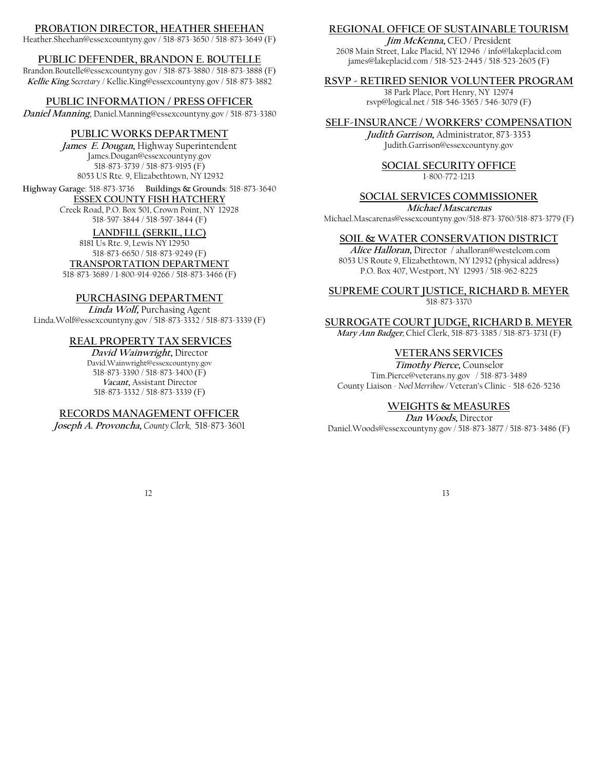# **PROBATION DIRECTOR, HEATHER SHEEHAN**

Heather.Sheehan@essexcountyny.gov / 518-873-3650 / 518-873-3649 (F)

# **PUBLIC DEFENDER, BRANDON E. BOUTELLE**

Brandon.Boutelle@essexcountyny.gov / 518-873-3880 / 518-873-3888 (F) **Kellie King***, Secretary* / Kellie.King@essexcountyny.gov / 518-873-3882

# **PUBLIC INFORMATION / PRESS OFFICER**

**Daniel Manning**, Daniel.Manning@essexcountyny.gov / 518-873-3380

# **PUBLIC WORKS DEPARTMENT**

**James E. Dougan,** Highway Superintendent James.Dougan@essexcountyny.gov 518-873-3739 / 518-873-9195 (F) 8053 US Rte. 9, Elizabethtown, NY 12932

# **Highway Garage**: 518-873-3736 **Buildings & Grounds**: 518-873-3640

**ESSEX COUNTY FISH HATCHERY**  Creek Road, P.O. Box 501, Crown Point, NY 12928 518-597-3844 / 518-597-3844 (F)

# **LANDFILL (SERKIL, LLC)**

8181 Us Rte. 9, Lewis NY 12950 518-873-6650 / 518-873-9249 (F)

# **TRANSPORTATION DEPARTMENT**

518-873-3689 / 1-800-914-9266 / 518-873-3466 (F)

# **PURCHASING DEPARTMENT**

**Linda Wolf,** Purchasing Agent Linda.Wolf@essexcountyny.gov / 518-873-3332 / 518-873-3339 (F)

# **REAL PROPERTY TAX SERVICES**

**David Wainwright,** Director David.Wainwright@essexcountyny.gov 518-873-3390 / 518-873-3400 (F) **Vacant,** Assistant Director 518-873-3332 / 518-873-3339 (F)

# **RECORDS MANAGEMENT OFFICER**

**Joseph A. Provoncha,** *County Clerk,* 518-873-3601

# **REGIONAL OFFICE OF SUSTAINABLE TOURISM**

**Jim McKenna,** CEO / President 2608 Main Street, Lake Placid, NY 12946 / info@lakeplacid.com james@lakeplacid.com / 518-523-2445 / 518-523-2605 (F)

# **RSVP - RETIRED SENIOR VOLUNTEER PROGRAM**

38 Park Place, Port Henry, NY 12974 rsvp@logical.net / 518-546-3565 / 546-3079 (F)

# **SELF-INSURANCE / WORKERS' COMPENSATION**

**Judith Garrison,** Administrator*,* 873-3353 Judith.Garrison@essexcountyny.gov

#### **SOCIAL SECURITY OFFICE** 1-800-772-1213

# **SOCIAL SERVICES COMMISSIONER**

**Michael Mascarenas**  Michael.Mascarenas@essexcountyny.gov/518-873-3760/518-873-3779 (F)

# **SOIL & WATER CONSERVATION DISTRICT**

 **Alice Halloran,** Director / ahalloran@westelcom.com 8053 US Route 9, Elizabethtown, NY 12932 (physical address) P.O. Box 407, Westport, NY 12993 / 518-962-8225

**SUPREME COURT JUSTICE, RICHARD B. MEYER** 518-873-3370

**SURROGATE COURT JUDGE, RICHARD B. MEYER** 

**Mary Ann Badger**, Chief Clerk, 518-873-3385 / 518-873-3731 (F)

# **VETERANS SERVICES**

**Timothy Pierce,** Counselor Tim.Pierce@veterans.ny.gov / 518-873-3489 County Liaison - *Noel Merrihew /* Veteran's Clinic - 518-626-5236

# **WEIGHTS & MEASURES**

**Dan Woods,** Director Daniel.Woods@essexcountyny.gov / 518-873-3877 / 518-873-3486 (F)

12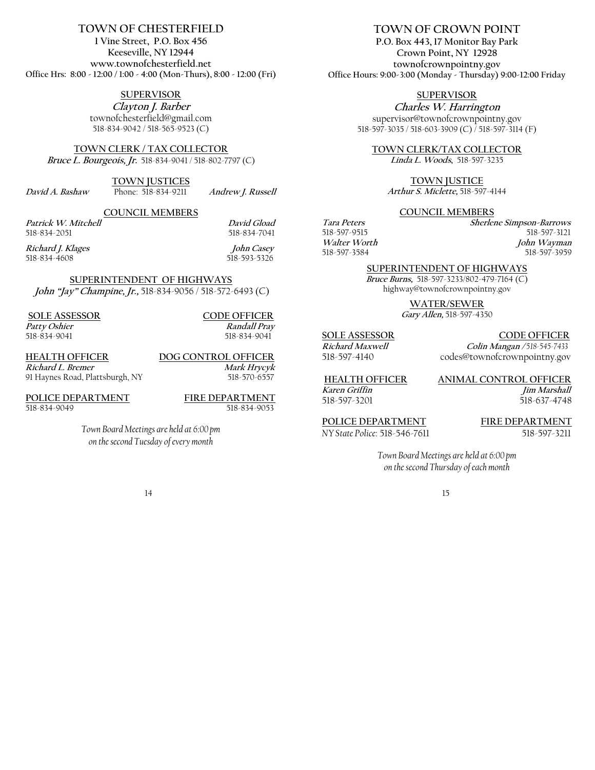# **TOWN OF CHESTERFIELD**

**1 Vine Street, P.O. Box 456 Keeseville, NY 12944 www.townofchesterfield.net Office Hrs: 8:00 - 12:00 / 1:00 - 4:00 (Mon-Thurs), 8:00 - 12:00 (Fri)**

# **SUPERVISOR**

**Clayton J. Barber**  townofchesterfield@gmail.com 518-834-9042 / 518-565-9523 (C)

**TOWN CLERK / TAX COLLECTOR Bruce L. Bourgeois, Jr.** 518-834-9041 / 518-802-7797 (C)

**TOWN JUSTICES** 

**David A. Bashaw**Phone: 518-834-9211 **Andrew J. Russell**

**COUNCIL MEMBERS Patrick W. Mitchell**<br>
518-834-2051<br> **David Gload**<br>
518-834-7041

518-834-4608

518-834-7041 **Richard J. Klages****John Casey** 

**SUPERINTENDENT OF HIGHWAYS John "Jay" Champine, Jr.,** 518-834-9056 / 518-572-6493 (C)

**SOLE ASSESSOR** CODE OFFICER<br>
Patty Oshier Randall Pray

**Patty Oshier Randall Pray** <br> **Patty Oshier Randall Pray**<br>  $518-834-9041$  <br>  $518-834-9041$ 518-834-9041 518-834-9041

**HEALTH OFFICER DOG CONTROL OFFICER Richard L. Bremer** Mark Hrycyk 91 Haynes Road, Plattsburgh, NY518-570-6557

**POLICE DEPARTMENT**<br> **FIRE DEPARTMENT**<br> **FIRE DEPARTMENT**<br> **FIRE DEPARTMENT**<br> **FIRE DEPARTMENT** 518-834-9049

*Town Board Meetings are held at 6:00 pm on the second Tuesday of every month*

#### 14

## **TOWN OF CROWN POINT**

**P.O. Box 443, 17 Monitor Bay Park Crown Point, NY 12928 townofcrownpointny.gov Office Hours: 9:00-3:00 (Monday - Thursday) 9:00-12:00 Friday**

**SUPERVISOR** 

**Charles W. Harrington**  supervisor@townofcrownpointny.gov 518-597-3035 / 518-603-3909 (C) / 518-597-3114 (F)

**TOWN CLERK/TAX COLLECTOR Linda L. Woods,** 518-597-3235

**TOWN JUSTICE**

**Arthur S. Miclette,** 518-597-4144

#### **COUNCIL MEMBERS**

**Tara Peters****Sherlene Simpson-Barrows** 518-597-3121 **Walter Worth****John Wayman** 518-597-3959

#### **SUPERINTENDENT OF HIGHWAYS**

**Bruce Burns,** 518-597-3233/802-479-7164 (C) highway@townofcrownpointny.gov

**WATER/SEWER** 

**Gary Allen,** 518-597-4350

#### **SOLE ASSESSOR CODE OFFICER**

**Richard Maxwell Colin Mangan /** *518-545-7433* 

518-597-4140 codes@townofcrownpointny.gov

**HEALTH OFFICER ANIMAL CONTROL OFFICER** 

**Karen Griffin Jim Marshall**  518-597-3201518-637-4748

**POLICE DEPARTMENT FIRE DEPARTMENT**

*NY State Police:* 518-546-7611 518-597-3211

*Town Board Meetings are held at 6:00 pm on the second Thursday of each month*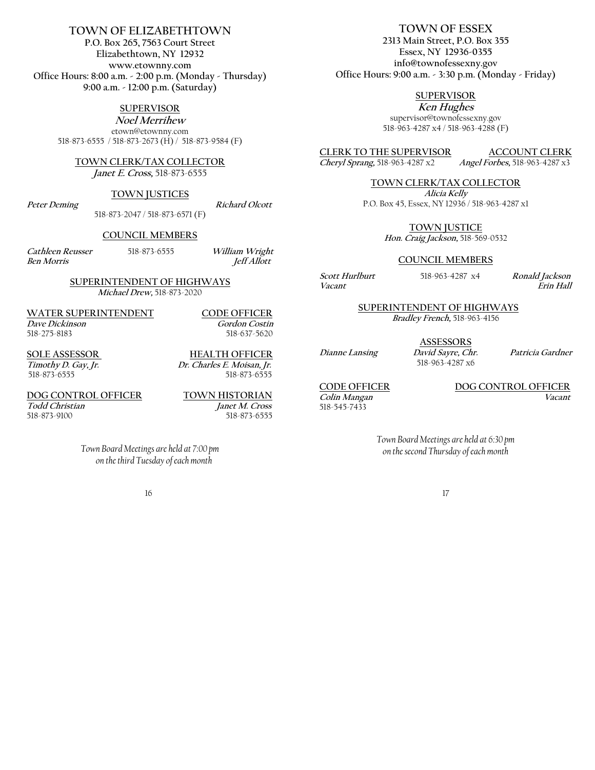# **TOWN OF ELIZABETHTOWN**

**P.O. Box 265, 7563 Court Street Elizabethtown, NY 12932 www.etownny.com Office Hours: 8:00 a.m. - 2:00 p.m. (Monday - Thursday) 9:00 a.m. - 12:00 p.m. (Saturday)** 

**SUPERVISOR**

**Noel Merrihew** etown@etownny.com 518-873-6555 / 518-873-2673 (H) / 518-873-9584 (F)

#### **TOWN CLERK/TAX COLLECTOR**

**Janet E. Cross,** 518-873-6555

#### **TOWN JUSTICES**

518-873-2047 / 518-873-6571 (F)

Peter Deming **Richard Olcott** 

#### **COUNCIL MEMBERS**

**Cathleen Reusser**518-873-6555 **William Wright Ben Morris** *Jeff Allott* 

#### **SUPERINTENDENT OF HIGHWAYS Michael Drew,** 518-873-2020

**WATER SUPERINTENDENT CODE OFFICER Dave Dickinson**<br> **Gordon Costin** 518-275-8183 518-637-5620

**SOLE ASSESSOR**<br> **Timothy D. Gay, Jr.**<br> **Dr. Charles E. Moisan, Jr. Timothy D. Gay, Jr. Dr. Charles E. Moisan, Jr.**  518-873-6555

**DOG CONTROL OFFICER TOWN HISTORIAN Todd Christian Janet M. Cross**<br>
518-873-9100 518-873-6555

518-873-9100518-873-6555

*Town Board Meetings are held at 7:00 pm on the third Tuesday of each month* 

16

# **TOWN OF ESSEX**

**2313 Main Street, P.O. Box 355 Essex, NY 12936-0355 info@townofessexny.gov Office Hours: 9:00 a.m. - 3:30 p.m. (Monday - Friday)**

# **SUPERVISOR**

**Ken Hughes**  supervisor@townofessexny.gov 518-963-4287 x4 / 518-963-4288 (F)

**CLERK TO THE SUPERVISOR ACCOUNT CLERK**<br> *Cheryl Sprang*, 518-963-4287 x2 *Angel Forbes*, 518-963-4287 x3 **Cheryl Sprang,** 518-963-4287 x2 **Angel Forbes,** 518-963-4287 x3

**TOWN CLERK/TAX COLLECTOR**

**Alicia Kelly**  P.O. Box 45, Essex, NY 12936 / 518-963-4287 x1

**TOWN JUSTICE**

**Hon. Craig Jackson,** 518-569-0532

#### **COUNCIL MEMBERS**

**Scott Hurlburt** 518-963-4287 x4 **Ronald Jackson**

 $\overline{E}$  *Frin Hall* 

#### **SUPERINTENDENT OF HIGHWAYS**

**Bradley French,** 518-963-4156

**ASSESSORS**

518-963-4287 x6

**Dianne Lansing David Sayre, Chr. Patricia Gardner**

**Colin Mangan Vacant**  518-545-7433

# **CODE OFFICER DOG CONTROL OFFICER**

*Town Board Meetings are held at 6:30 pm on the second Thursday of each month*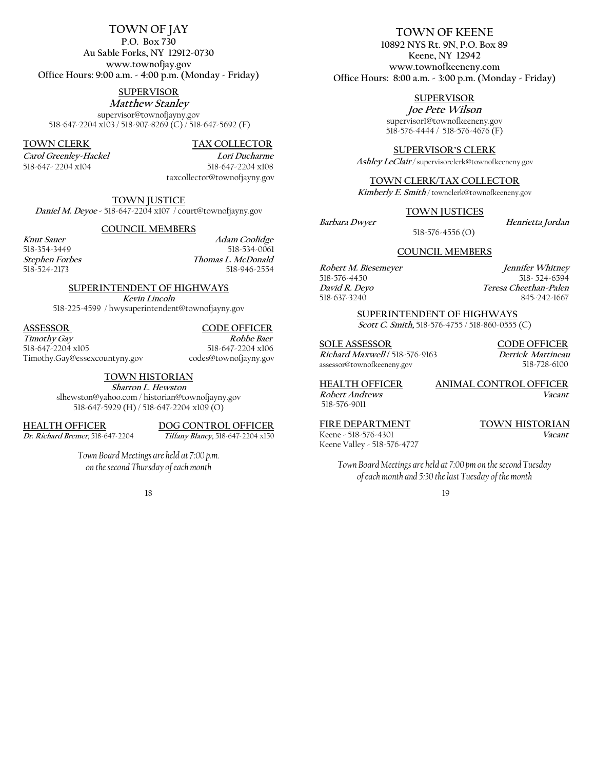#### **TOWN OF JAY P.O. Box 730 Au Sable Forks, NY 12912-0730 www.townofjay.gov Office Hours: 9:00 a.m. - 4:00 p.m. (Monday - Friday)**

#### **SUPERVISOR**

**Matthew Stanley**  supervisor@townofjayny.gov 518-647-2204 x103 / 518-907-8269 (C) / 518-647-5692 (F)

**TOWN CLERK TAX COLLECTOR** 

Carol Greenley-Hackel **Lori Ducharme** *Carol Greenley-Hackel* 518-647- 2204 x104 518-647-2204 x108

taxcollector@townofjayny.gov

**TOWN JUSTICE Daniel M. Deyoe -** 518-647-2204 x107 / court@townofjayny.gov

#### **COUNCIL MEMBERS**

**Knut Sauer**<br>
518-354-3449<br>
518-534-0061<br>
518-534-0061 518-354-3449 518-534-0061<br> *Stephen Forbes Thomas L. McDonald* **Stephen Forbes**<br> **STEP 518-524-2173**<br> **Thomas L. McDonald**<br> **STEP 518-946-2554** 518-946-2554

#### **SUPERINTENDENT OF HIGHWAYS**

**Kevin Lincoln** 

518-225-4599 / hwysuperintendent@townofjayny.gov

#### **ASSESSOR CODE OFFICER**

**Timothy Gay** Robbe Baer<br>
518-647-2204 x105<br>
518-647-2204 x106 Timothy.Gay@essexcountyny.gov codes@townofjayny.gov

518-647-2204 x105 518-647-2204 x106

#### **TOWN HISTORIAN**

**Sharron L. Hewston**  slhewston@yahoo.com / historian@townofjayny.gov 518-647-5929 (H) / 518-647-2204 x109 (O)

**HEALTH OFFICER DOG CONTROL OFFICER**

**Dr. Richard Bremer,** 518-647-2204 **Tiffany Blaney,** 518-647-2204 x150

*Town Board Meetings are held at 7:00 p.m. on the second Thursday of each month*

18

# **TOWN OF KEENE**

**10892 NYS Rt. 9N**, **P.O. Box 89 Keene, NY 12942 www.townofkeeneny.com Office Hours: 8:00 a.m. - 3:00 p.m. (Monday - Friday)** 

#### **SUPERVISOR**

**Joe Pete Wilson**  supervisor1@townofkeeneny.gov 518-576-4444 / 518-576-4676 (F)

**SUPERVISOR'S CLERK** 

**Ashley LeClair** */* supervisorclerk@townofkeeneny.gov

**TOWN CLERK/TAX COLLECTOR**

**Kimberly E. Smith** */* townclerk@townofkeeneny.gov

#### **TOWN JUSTICES**

**Barbara Dwyer****Henrietta Jordan**

518-576-4556 (O)

#### **COUNCIL MEMBERS**

518-576-4450

**Robert M. Biesemeyer Jennifer Whitney David R. Deyo****Teresa Cheethan-Palen** 518-637-3240 845-242-1667

#### **SUPERINTENDENT OF HIGHWAYS**

**Scott C. Smith,** 518-576-4755 / 518-860-0555 (C)

**SOLE ASSESSOR CODE OFFICER Richard Maxwell /** 518-576-9163 **Derrick Martineau**  assessor@townofkeeneny.gov 518-728-6100

**HEALTH OFFICER ANIMAL CONTROL OFFICER** 518-576-9011

**Robert Andrews Vacant** 

Keene - 518-576-4301 Keene Valley - 518-576-4727

**FIRE DEPARTMENT TOWN HISTORIAN** 

*Town Board Meetings are held at 7:00 pm on the second Tuesday of each month and 5:30 the last Tuesday of the month*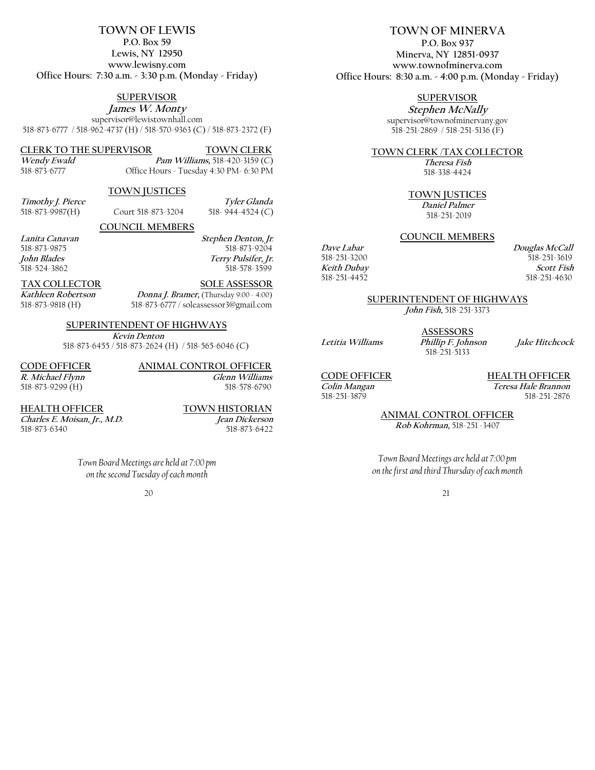#### **TOWN OF LEWIS P.O. Box 59**

**Lewis, NY 12950 www.lewisny.com Office Hours: 7:30 a.m. - 3:30 p.m. (Monday - Friday)** 

# **SUPERVISOR**

**James W. Monty**  supervisor@lewistownhall.com 518-873-6777 / 518-962-4737 (H) / 518-570-9363 (C) / 518-873-2372 (F)

# **CLERK TO THE SUPERVISOR TOWN CLERK**

**Wendy Ewald Pam Williams**, 518-420-3159 (C)<br>
518-873-6777 **CHICLE** Hours - Tuesday 4:30 PM-6:30 PM Office Hours - Tuesday 4:30 PM- 6:30 PM

### **TOWN JUSTICES**

| Timothy J. Pierce |                    | Tyler Glanda     |
|-------------------|--------------------|------------------|
| 518-873-9987(H)   | Court 518-873-3204 | 518-944-4524 (C) |

#### **COUNCIL MEMBERS**

**Lanita Canavan****Stephen Denton, Jr***.* 518-873-9875 518-873-9204 **John Blades****Terry Pulsifer, Jr.**  518-578-3599

# **TAX COLLECTOR SOLE ASSESSOR**

**Kathleen Robertson****Donna J. Bramer,** (Thursday 9:00 - 4:00) 518-873-9818 (H) 518-873-6777 / soleassessor3@gmail.com

# **SUPERINTENDENT OF HIGHWAYS**

 **Kevin Denton** 518-873-6455 / 518-873-2624 (H) / 518-565-6046 (C)

**CODE OFFICER ANIMAL CONTROL OFFICER R. Michael Flynn Glenn Williams** 518-873-9299 (H) 518-578-6790

**HEALTH OFFICER TOWN HISTORIAN** 

**Charles E. Moisan, Jr., M.D. Jean Dickerson**  518-873-6422

> *Town Board Meetings are held at 7:00 pm on the second Tuesday of each month*

> > 20

# **TOWN OF MINERVA**

**P.O. Box 937 Minerva, NY 12851-0937 www.townofminerva.com Office Hours: 8:30 a.m. - 4:00 p.m. (Monday - Friday)** 

# **SUPERVISOR**

**Stephen McNally**  supervisor@townofminervany.gov 518-251-2869 / 518-251-5136 (F)

### **TOWN CLERK** /**TAX COLLECTOR**

**Theresa Fish** 518-338-4424

#### **TOWN JUSTICES**

 **Daniel Palmer** 518-251-2019

#### **COUNCIL MEMBERS**

**Dave Labar**<br>
518-251-3200<br>
518-251-3619<br>
518-251-3619 518-251-3619 **Keith Dubay**<br> **Scott Fish**<br> **SI8**-251-4452<br> **SI8**-251-4630 518-251-4630

#### **SUPERINTENDENT OF HIGHWAYS**

**John Fish,** 518-251-3373

**ASSESSORS** 518-251-5133

**Letitia Williams Phillip F. Johnson Jake Hitchcock**

518-251-3879

**CODE OFFICER HEALTH OFFICER**<br> **Colin Mangan** *Teresa Hale Brannon* **Teresa Hale Brannon**<br>518-251-2876

> **ANIMAL CONTROL OFFICER Rob Kohrman,** 518-251 -3407

*Town Board Meetings are held at 7:00 pm on the first and third Thursday of each month*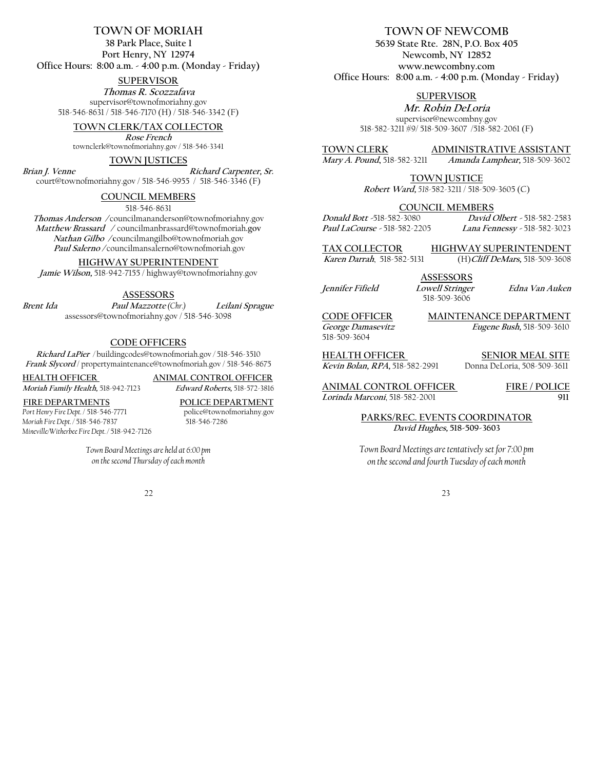### **TOWN OF MORIAH**

**38 Park Place, Suite 1 Port Henry, NY 12974 Office Hours: 8:00 a.m. - 4:00 p.m. (Monday - Friday)**

#### **SUPERVISOR**

**Thomas R. Scozzafava**  supervisor@townofmoriahny.gov 518-546-8631 / 518-546-7170 (H) / 518-546-3342 (F)

#### **TOWN CLERK/TAX COLLECTOR**

**Rose French**

townclerk@townofmoriahny.gov / 518-546-3341

#### **TOWN JUSTICES**

**Brian J. Venne****Richard Carpenter, Sr.**

court@townofmoriahny.gov / 518-546-9955 / 518-546-3346 (F)

#### **COUNCIL MEMBERS**

518-546-8631

**Thomas Anderson /** councilmananderson@townofmoriahny.gov **Matthew Brassard /** councilmanbrassard@townofmoriah**.gov Nathan Gilbo / c**ouncilmangilbo@townofmoriah.gov **Paul Salerno /** councilmansalerno@townofmoriah.gov

#### **HIGHWAY SUPERINTENDENT**

**Jamie Wilson,** 518-942-7155 / highway@townofmoriahny.gov

#### **ASSESSORS**

**Brent Ida Paul Mazzotte** *(Chr.)* **Leilani Sprague** assessors@townofmoriahny.gov / 518-546-3098

#### **CODE OFFICERS**

**Richard LaPier** */* buildingcodes@townofmoriah.gov */* 518-546-3510 **Frank Slycord** / propertymaintenance@townofmoriah.gov / 518-546-8675

**HEALTH OFFICER ANIMAL CONTROL OFFICER**

**Moriah Family Health,** 518-942-7123 **Edward Roberts,** 518-572-3816

*Mineville/Witherbee Fire Dept. /* 518-942-7126

**FIRE DEPARTMENTS POLICE DEPARTMENT** *Moriah Fire Dept.* / 518-546-7837

*Port Henry Fire Dept. / 518-546-7771* police@townofmoriahny.gov<br>Moriah Fire Dept. / 518-546-7837 518-546-7286

*Town Board Meetings are held at 6:00 pm on the second Thursday of each month*

#### 22

# **TOWN OF NEWCOMB**

**5639 State Rte. 28N, P.O. Box 405 Newcomb, NY 12852 www.newcombny.com Office Hours: 8:00 a.m. - 4:00 p.m. (Monday - Friday)** 

#### **SUPERVISOR**

**Mr. Robin DeLoria**  supervisor@newcombny.gov 518-582-3211 #9/ 518-509-3607 /518-582-2061 (F)

**TOWN CLERK ADMINISTRATIVE ASSISTANT**<br>Mary A. Pound, 518-582-3211 *Amanda Lamphear*, 518-509-3602

**Mary A. Pound,** 518-582-3211 **Amanda Lamphear,** 518-509-3602

**TOWN JUSTICE**

**Robert Ward,** *518-*582-3211 / 518-509-3605 (C)

# **COUNCIL MEMBERS**<br>David d Bott -518-582-3080 David

**Paul LaCourse -** 518-582-2205 **Lana Fennessy -** 518-582-3023

**TAX COLLECTOR HIGHWAY SUPERINTENDENT** 

**Karen Darrah**, 518-582-5131 (H)**Cliff DeMars,** 518-509-3608

**ASSESSORS** 518-509-3606

**Jennifer Fifield Lowell Stringer Edna Van Auken** 

**Donald Bott -**518-582-3080**David Olbert -** 518-582-2583

**CODE OFFICER** MAINTENANCE DEPARTMENT<br> *George Damasevitz Eugene Bush*, 518-509-3610 518-509-3604

**George Damasevitz Eugene Bush,** 518-509-3610

**HEALTH OFFICER SENIOR MEAL SITE Kevin Bolan, RPA,** 518-582-2991 Donna DeLoria, 508-509-3611

**ANIMAL CONTROL OFFICER FIRE / POLICE** 

**Lorinda Marconi**, 518-582-2001 **911**

**PARKS/REC. EVENTS COORDINATOR David Hughes, 518-509-3603** 

*Town Board Meetings are tentatively set for 7:00 pm on the second and fourth Tuesday of each month*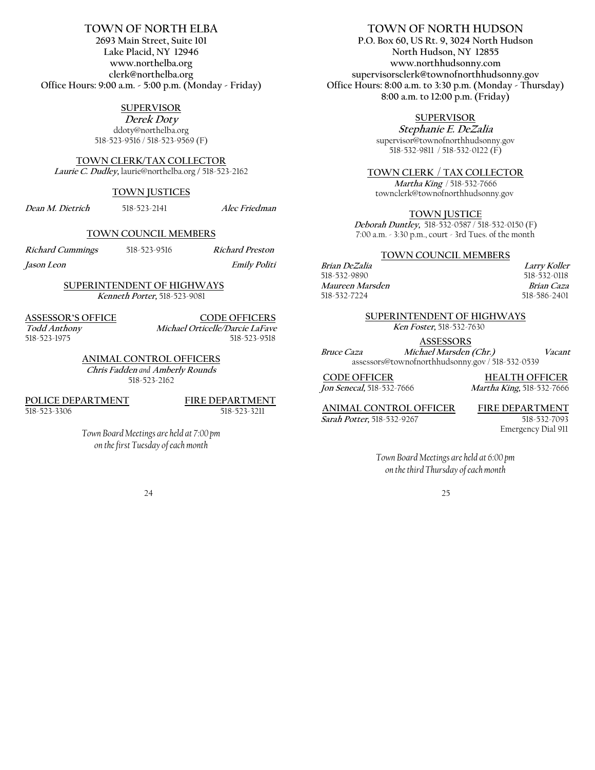# **TOWN OF NORTH ELBA**

**2693 Main Street, Suite 101 Lake Placid, NY 12946 www.northelba.org clerk@northelba.org Office Hours: 9:00 a.m. - 5:00 p.m. (Monday - Friday)**

#### **SUPERVISOR**

**Derek Doty**  ddoty@northelba.org 518-523-9516 / 518-523-9569 (F)

#### **TOWN CLERK/TAX COLLECTOR**

**Laurie C. Dudley,** laurie@northelba.org **/** 518-523-2162

#### **TOWN JUSTICES**

**Dean M. Dietrich**518-523-2141 **Alec Friedman**

#### **TOWN COUNCIL MEMBERS**

**Richard Cummings**518-523-9516 **Richard Preston**

**Jason Leon Emily Politi** 

#### **SUPERINTENDENT OF HIGHWAYS Kenneth Porter,** 518-523-9081

**ASSESSOR'S OFFICE CODE OFFICERS Todd Anthony Michael Orticelle/Darcie LaFave**  518-523-1975518-523-9518

> **ANIMAL CONTROL OFFICERS Chris Fadden** *and* **Amberly Rounds**  518-523-2162

**POLICE DEPARTMENT**<br>518-523-3306<br>518-523-3211 518-523-3306

*Town Board Meetings are held at 7:00 pm on the first Tuesday of each month* 

# **TOWN OF NORTH HUDSON**

**P.O. Box 60, US Rt. 9, 3024 North Hudson North Hudson, NY 12855 www.northhudsonny.com supervisorsclerk@townofnorthhudsonny.gov Office Hours: 8:00 a.m. to 3:30 p.m. (Monday - Thursday) 8:00 a.m. to 12:00 p.m. (Friday)** 

## **SUPERVISOR**

**Stephanie E. DeZalia**  supervisor@townofnorthhudsonny.gov 518-532-9811 / 518-532-0122 (F)

#### **TOWN CLERK** / **TAX COLLECTOR**

**Martha King** / 518-532-7666 townclerk@townofnorthhudsonny.gov

#### **TOWN JUSTICE**

**Deborah Duntley,** 518-532-0587 / 518-532-0150 (F) 7:00 a.m. - 3:30 p.m., court - 3rd Tues. of the month

#### **TOWN COUNCIL MEMBERS**

#### **Brian DeZalia Larry Koller**<br> **Example 218-532-9890 CALC 118-532-0118** 518-532-0118 **Maureen Marsden****Brian Caza** 518-532-7224 518-586-2401

#### **SUPERINTENDENT OF HIGHWAYS**

**Ken Foster,** 518-532-7630

**ASSESSORS**

**Bruce Caza Michael Marsden (Chr.)****Vacant** assessors@townofnorthhudsonny.gov / 518-532-0539

**CODE OFFICER**<br> *Ion Senecal*, 518-532-7666<br> *Martha King*, 518-532-7666 **Jon Senecal,** 518-532-7666 **Martha King,** 518-532-7666

**ANIMAL CONTROL OFFICER****FIRE DEPARTMENT**

**Sarah Potter,** 518-532-9267 518-532-7093 Emergency Dial 911

> *Town Board Meetings are held at 6:00 pm on the third Thursday of each month*

> > 25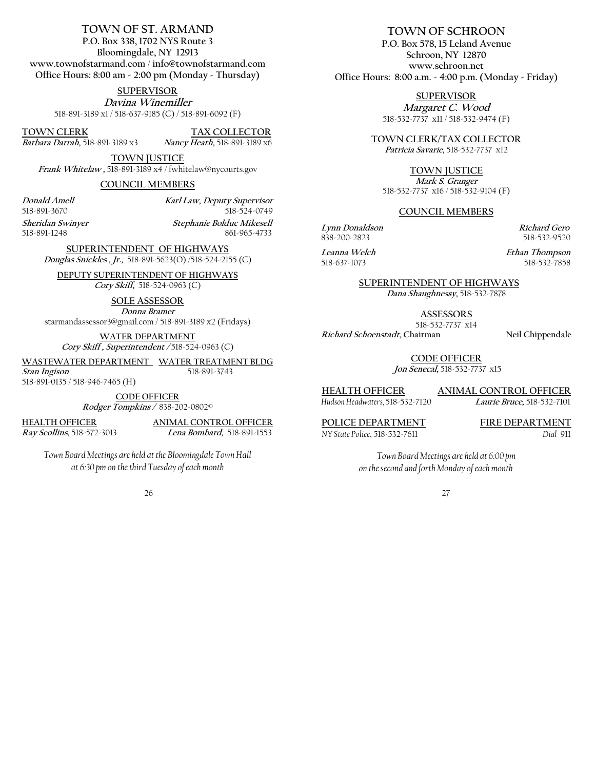# **TOWN OF ST. ARMAND**

**P.O. Box 338, 1702 NYS Route 3 Bloomingdale, NY 12913 www.townofstarmand.com** / **info@townofstarmand.com Office Hours: 8:00 am - 2:00 pm (Monday - Thursday)** 

**SUPERVISOR**

**Davina Winemiller** 518-891-3189 x1 / 518-637-9185 (C) / 518-891-6092 (F)

**TOWN CLERK TAX COLLECTOR**<br> *Barbara Darrah***, 518-891-3189 x3** *Nancy Heath*, 518-891-3189 x6

Barbara Darrah, 518-891-3189 x3

**TOWN JUSTICE**

**Frank Whitelaw ,** 518-891-3189 x4 / fwhitelaw@nycourts.gov

**COUNCIL MEMBERS**

**Donald Amell****Karl Law, Deputy Supervisor** 518-524-0749

**Sheridan Swinyer Stephanie Bolduc Mikesell** 518-891-1248 861-965-4733

**SUPERINTENDENT OF HIGHWAYS** 

**Douglas Snickles , Jr.,** 518-891-5623(O) /518-524-2155 (C)

**DEPUTY SUPERINTENDENT OF HIGHWAYS Cory Skiff,** 518-524-0963 (C)

**SOLE ASSESSOR**

**Donna Bramer** 

starmandassessor3@gmail.com / 518-891-3189 x2 (Fridays)

**WATER DEPARTMENT Cory Skiff , Superintendent /** 518-524-0963 (C)

**WASTEWATER DEPARTMENT WATER TREATMENT BLDG Stan Ingison** 518-891-3743

518-891-0135 / 518-946-7465 (H)

**CODE OFFICER Rodger Tompkins /** 838-202-0802©

**HEALTH OFFICER ANIMAL CONTROL OFFICER Ray Scollins,** 518-572-3013 **Lena Bombard,** 518-891-1553

*Town Board Meetings are held at the Bloomingdale Town Hall at 6:30 pm on the third Tuesday of each month*

26

## **TOWN OF SCHROON**

**P.O. Box 578, 15 Leland Avenue Schroon, NY 12870 www.schroon.net Office Hours: 8:00 a.m. - 4:00 p.m. (Monday - Friday)**

> **SUPERVISOR Margaret C. Wood**  518-532-7737 x11 / 518-532-9474 (F)

**TOWN CLERK/TAX COLLECTOR**

**Patricia Savarie,** 518-532-7737 x12

**TOWN JUSTICE**

**Mark S. Granger** 518-532-7737 x16 / 518-532-9104 (F)

#### **COUNCIL MEMBERS**

**Lynn Donaldson****Richard Gero** 838-200-2823518-532-9520

**Leanna Welch Ethan Thompson** 518-532-7858

**SUPERINTENDENT OF HIGHWAYS**

**Dana Shaughnessy,** 518-532-7878

**ASSESSORS** 

518-532-7737 x14 **Richard Schoenstadt, Chairman Neil Chippendale**

**CODE OFFICER**

**Jon Senecal,** 518-532-7737 x15

# **HEALTH OFFICER ANIMAL CONTROL OFFICER**

*Hudson Headwaters,* 518-532-7120**Laurie Bruce,** 518-532-7101

*NY State Police*, 518-532-7611 *Dial* 911

POLICE DEPARTMENT FIRE DEPARTMENT

*Town Board Meetings are held at 6:00 pm on the second and forth Monday of each month*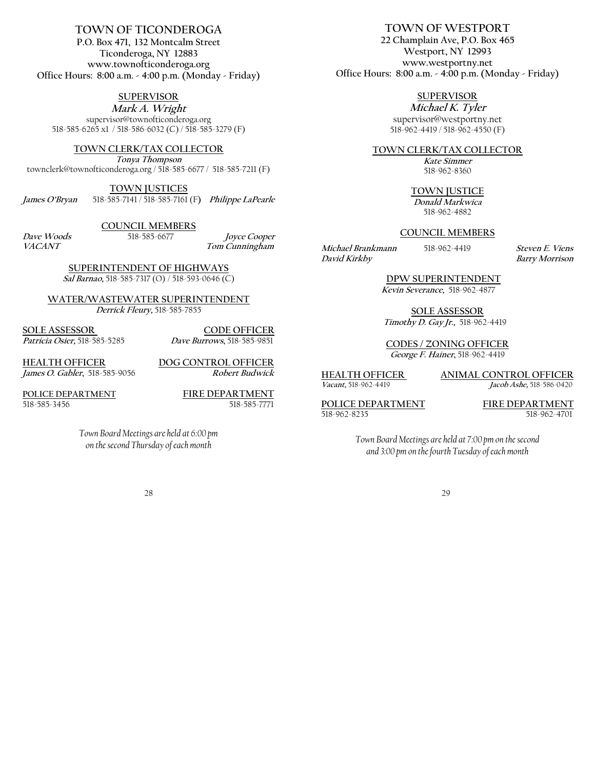#### **TOWN OF TICONDEROGA P.O. Box 471, 132 Montcalm Street Ticonderoga, NY 12883 www.townofticonderoga.org Office Hours: 8:00 a.m. - 4:00 p.m. (Monday - Friday)**

### **SUPERVISOR**

**Mark A. Wright** supervisor@townofticonderoga.org 518-585-6265 x1 / 518-586-6032 (C) / 518-585-3279 (F)

**TOWN CLERK/TAX COLLECTOR**

**Tonya Thompson** townclerk@townofticonderoga.org / 518-585-6677 / 518-585-7211 (F)

**TOWN JUSTICES James O'Bryan** 518-585-7141 / 518-585-7161 (F**) Philippe LaPearle**

**COUNCIL MEMBERS**

**Dave Woods**518-585-6677 **Joyce Cooper**  $Tom$  *Cunningham* 

> **SUPERINTENDENT OF HIGHWAYS Sal Barnao,** 518-585-7317 (O) / 518-593-0646 (C)

**WATER/WASTEWATER SUPERINTENDENT Derrick Fleury,** 518-585-7855

**SOLE ASSESSOR CODE OFFICER Patricia Osier,** 518-585-5285 **Dave Burrows,** 518-585-9851

**HEALTH OFFICER**<br> *Iames O. Gabler.* **518-585-9056<br>
<b>***Robert Budwick* James *O. Gabler*, 518-585-9056

**POLICE DEPARTMENT FIRE DEPARTMENT** 518-585-3456 518-585-7771

*Town Board Meetings are held at 6:00 pm on the second Thursday of each month*

28

**TOWN OF WESTPORT 22 Champlain Ave, P.O. Box 465 Westport, NY 12993 www.westportny.net Office Hours: 8:00 a.m. - 4:00 p.m. (Monday - Friday)**

**SUPERVISOR**

**Michael K. Tyler**  supervisor@westportny.net 518-962-4419 / 518-962-4550 (F)

**TOWN CLERK/TAX COLLECTOR**

**Kate Simmer** 518-962-8360

**TOWN JUSTICE**

**Donald Markwica** 518-962-4882

#### **COUNCIL MEMBERS**

**Michael Brankmann**518-962-4419**Steven E. Viens David Kirkby****Barry Morrison**

 **DPW SUPERINTENDENT Kevin Severance,** 518-962-4877

**SOLE ASSESSOR**  **Timothy D. Gay Jr.,** 518-962-4419

**CODES / ZONING OFFICER George F. Hainer,** 518-962-4419

**HEALTH OFFICER ANIMAL CONTROL OFFICER Vacant,** 518-962-4419 **Jacob Ashe,** 518-586-0420

**POLICE DEPARTMENT**<br>518-962-8235<br>518-962-4701

518-962-4701

*Town Board Meetings are held at 7:00 pm on the second and 3:00 pm on the fourth Tuesday of each month*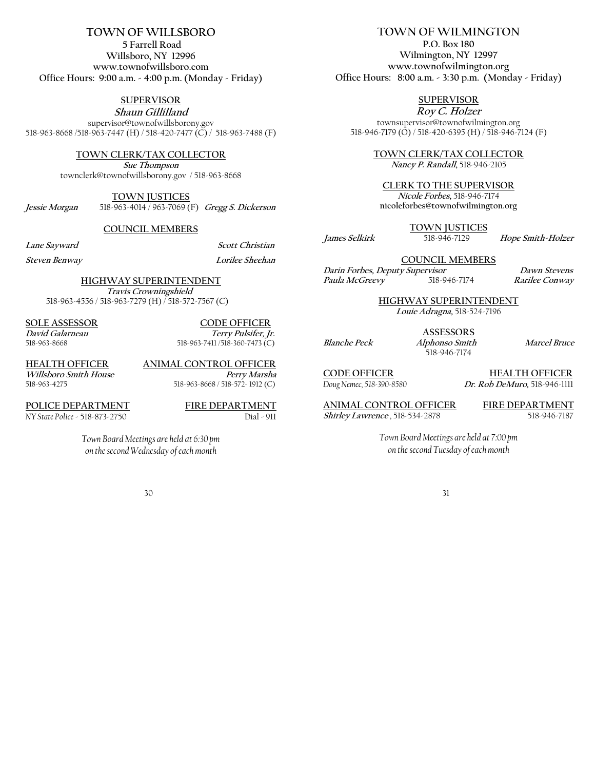# **TOWN OF WILLSBORO**

**5 Farrell Road Willsboro, NY 12996 www.townofwillsboro.com Office Hours: 9:00 a.m. - 4:00 p.m. (Monday - Friday)**

**SUPERVISOR**

**Shaun Gillilland**  supervisor@townofwillsborony.gov 518-963-8668 /518-963-7447 (H) / 518-420-7477 (C) / 518-963-7488 (F)

#### **TOWN CLERK/TAX COLLECTOR**

**Sue Thompson** townclerk@townofwillsborony.gov / 518-963-8668

**TOWN JUSTICES**

**Jessie Morgan** 518-963-4014 / 963-7069 (F) **Gregg S. Dickerson**

**COUNCIL MEMBERS**

Lane Sayward Scott Christian

**Steven Benway****Lorilee Sheehan**

**HIGHWAY SUPERINTENDENT** 

 **Travis Crowningshield**  518-963-4556 / 518-963-7279 (H) / 518-572-7567 (C)

**SOLE ASSESSOR CODE OFFICER**

**David Galarneau Terry Pulsifer, Jr. Terry Pulsifer, Jr. Terry Pulsifer, Jr. Terry Pulsifer, Jr. Terry Pulsifer, Jr.** 518-963-7411/518-360-7473 (C)

*Willsboro Smith House*<br><sup>518-963-4275</sup>

**HEALTH OFFICER ANIMAL CONTROL OFFICER** 518-963-8668 / 518-572- 1912 (C)

**POLICE DEPARTMENT**<br>NY State Police - 518-873-2750<br>Dial - 911 *NY State Police* - 518-873-2750

*Town Board Meetings are held at 6:30 pm on the second Wednesday of each month*

30

# **TOWN OF WILMINGTON**

**P.O. Box 180 Wilmington, NY 12997 www.townofwilmington.org Office Hours: 8:00 a.m. - 3:30 p.m. (Monday - Friday)**

# **SUPERVISOR**

**Roy C. Holzer**  townsupervisor@townofwilmington.org 518-946-7179 (O) / 518-420-6395 (H) / 518-946-7124 (F)

**TOWN CLERK/TAX COLLECTOR**

**Nancy P. Randall,** 518-946-2105

#### **CLERK TO THE SUPERVISOR**

**Nicole Forbes,** 518-946-7174 **nicoleforbes@townofwilmington.org** 

**TOWN JUSTICES**

**James Selkirk** 518-946-7129 **Hope Smith-Holzer**

**COUNCIL MEMBERS Darin Forbes, Deputy Supervisor****Dawn Stevens**

**Paula McGreevy**518-946-7174**Rarilee Conway** 

**HIGHWAY SUPERINTENDENT** 

**Louie Adragna,** 518-524-7196

**ASSESSORS** 518-946-7174

**Blanche Peck Alphonso Smith Marcel Bruce**

**CODE OFFICER**<br>
Dug Nemec, 518-390-8580<br>
Dr. Rob DeMuro, 518-946-1111 *Doug Nemec, 518-390-8580* **Dr. Rob DeMuro,** 518-946-1111

**ANIMAL CONTROL OFFICER** FIRE DEPARTMENT<br> *Shirley Lawrence*, 518-534-2878 518-946-7187 Shirley Lawrence, 518-534-2878

*Town Board Meetings are held at 7:00 pm on the second Tuesday of each month*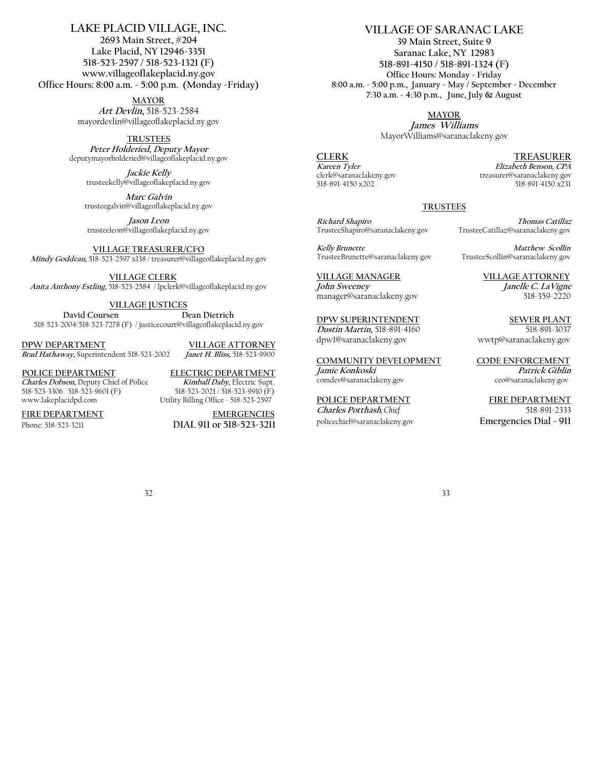#### **LAKE PLACID VILLAGE, INC. 2693 Main Street, #204 Lake Placid, NY 12946-3351 518-523-2597 / 518-523-1321 (F) www.villageoflakeplacid.ny.gov Office Hours: 8:00 a.m. - 5:00 p.m. (Monday -Friday)**

**MAYOR Art Devlin,** 518-523-2584 mayordevlin@villageoflakeplacid.ny.gov

#### **TRUSTEES**

**Peter Holderied, Deputy Mayor** deputymayorholderied@villageoflakeplacid.ny.gov

**Jackie Kelly** trusteekelly@villageoflakeplacid.ny.gov

**Marc Galvin** trusteegalvin@villageoflakeplacid.ny.gov

**Jason Leon** trusteeleon@villageoflakeplacid.ny.gov

**VILLAGE TREASURER/CFO** 

**Mindy Goddeau,** 518-523-2597 x138 / treasurer@villageoflakeplacid.ny.gov

 **VILLAGE CLERK Anita Anthony Estling,** 518-523-2584 / lpclerk@villageoflakeplacid.ny.gov

**VILLAGE JUSTICES** 

David Coursen **Dean Dietrich** 518-523-2004/518-523-7278 (F) / justicecourt@villageoflakeplacid.ny.gov

**DPW DEPARTMENT**<br> *Brad Hathaway*, Superintendent 518-523-2002<br> *Janet H. Bliss*, 518-523-9900 Brad Hathaway, Superintendent 518-523-2002

**Charles Dobson,** Deputy Chief of Police **Kimball Daby,** Electric Supt. 518-523-3306 518-523-9601 (F)<br>www.lakeplacidpd.com

**POLICE DEPARTMENT**<br> *Charles Dobson*, Deputy Chief of Police *Kimball Daby*, Electric Supt. Utility Billing Office - 518-523-2597

FIRE DEPARTMENT EMERGENCIES Phone: 518-523-3211 **DIAL 911 or 518-523-3211**  **VILLAGE OF SARANAC LAKE**

**39 Main Street, Suite 9 Saranac Lake, NY 12983 518-891-4150 / 518-891-1324 (F) Office Hours: Monday - Friday 8:00 a.m. - 5:00 p.m., January - May / September - December 7:30 a.m. - 4:30 p.m., June, July & August**

**MAYOR**

**James Williams** MayorWilliams@saranaclakeny.gov

518-891-4150 x202

**CLERK TREASURER Kareen Tyler Elizabeth Benson, CPA** treasurer@saranaclakeny.gov<br>518-891-4150 x231

#### **TRUSTEES**

**VILLAGE MANAGER VILLAGE ATTORNEY John Sweeney Janelle C. LaVigne** manager@saranaclakeny.gov 518-359-2220

**DPW SUPERINTENDENT**<br> *Dustin Martin*, 518-891-4160<br>
518-891-3037 **Dustin Martin, 518-891-4160** dpw1@saranaclakeny.gov wwtp@saranaclakeny.gov

**COMMUNITY DEVELOPMENT CODE ENFORCEMENT**  *Jamie Konkoski* **Patrick Giblin** *Patrick Giblin* **Comdev@saranaclakeny.gov** comdev@saranaclakeny.gov

**Charles Potthash***, Chief* 518-891-2333 policechief@saranaclakeny.gov **Emergencies Dial - 911** 

**Richard Shapiro****Thomas Catillaz** TrusteeCatillaz@saranaclakeny.gov

**Kelly Brunette**<br>TrusteeBrunette@saranaclakeny.gov TrusteeScollin@saranaclakeny.gov TrusteeScollin@saranaclakeny.gov

**POLICE DEPARTMENT FIRE DEPARTMENT**

32